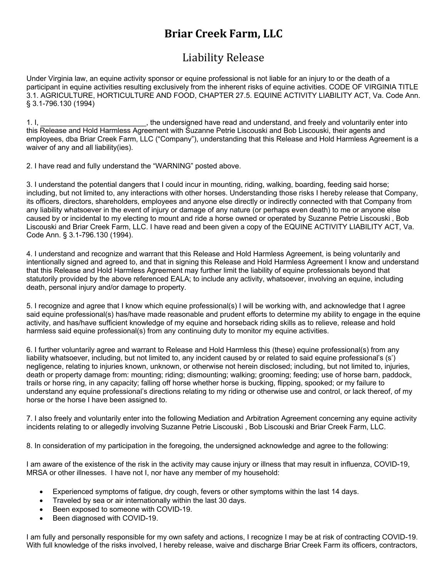# **Briar Creek Farm, LLC**

# Liability Release

Under Virginia law, an equine activity sponsor or equine professional is not liable for an injury to or the death of a participant in equine activities resulting exclusively from the inherent risks of equine activities. CODE OF VIRGINIA TITLE 3.1. AGRICULTURE, HORTICULTURE AND FOOD, CHAPTER 27.5. EQUINE ACTIVITY LIABILITY ACT, Va. Code Ann. § 3.1-796.130 (1994)

1. I, \_\_\_\_\_\_\_\_\_\_\_\_\_\_\_\_\_\_\_\_\_\_\_\_\_\_, the undersigned have read and understand, and freely and voluntarily enter into this Release and Hold Harmless Agreement with Suzanne Petrie Liscouski and Bob Liscouski, their agents and employees, dba Briar Creek Farm, LLC ("Company"), understanding that this Release and Hold Harmless Agreement is a waiver of any and all liability(ies).

2. I have read and fully understand the "WARNING" posted above.

3. I understand the potential dangers that I could incur in mounting, riding, walking, boarding, feeding said horse; including, but not limited to, any interactions with other horses. Understanding those risks I hereby release that Company, its officers, directors, shareholders, employees and anyone else directly or indirectly connected with that Company from any liability whatsoever in the event of injury or damage of any nature (or perhaps even death) to me or anyone else caused by or incidental to my electing to mount and ride a horse owned or operated by Suzanne Petrie Liscouski , Bob Liscouski and Briar Creek Farm, LLC. I have read and been given a copy of the EQUINE ACTIVITY LIABILITY ACT, Va. Code Ann. § 3.1-796.130 (1994).

4. I understand and recognize and warrant that this Release and Hold Harmless Agreement, is being voluntarily and intentionally signed and agreed to, and that in signing this Release and Hold Harmless Agreement I know and understand that this Release and Hold Harmless Agreement may further limit the liability of equine professionals beyond that statutorily provided by the above referenced EALA; to include any activity, whatsoever, involving an equine, including death, personal injury and/or damage to property.

5. I recognize and agree that I know which equine professional(s) I will be working with, and acknowledge that I agree said equine professional(s) has/have made reasonable and prudent efforts to determine my ability to engage in the equine activity, and has/have sufficient knowledge of my equine and horseback riding skills as to relieve, release and hold harmless said equine professional(s) from any continuing duty to monitor my equine activities.

6. I further voluntarily agree and warrant to Release and Hold Harmless this (these) equine professional(s) from any liability whatsoever, including, but not limited to, any incident caused by or related to said equine professional's (s') negligence, relating to injuries known, unknown, or otherwise not herein disclosed; including, but not limited to, injuries, death or property damage from: mounting; riding; dismounting; walking; grooming; feeding; use of horse barn, paddock, trails or horse ring, in any capacity; falling off horse whether horse is bucking, flipping, spooked; or my failure to understand any equine professional's directions relating to my riding or otherwise use and control, or lack thereof, of my horse or the horse I have been assigned to.

7. I also freely and voluntarily enter into the following Mediation and Arbitration Agreement concerning any equine activity incidents relating to or allegedly involving Suzanne Petrie Liscouski , Bob Liscouski and Briar Creek Farm, LLC.

8. In consideration of my participation in the foregoing, the undersigned acknowledge and agree to the following:

I am aware of the existence of the risk in the activity may cause injury or illness that may result in influenza, COVID-19, MRSA or other illnesses. I have not I, nor have any member of my household:

- Experienced symptoms of fatigue, dry cough, fevers or other symptoms within the last 14 days.
- Traveled by sea or air internationally within the last 30 days.
- Been exposed to someone with COVID-19.
- Been diagnosed with COVID-19.

I am fully and personally responsible for my own safety and actions, I recognize I may be at risk of contracting COVID-19. With full knowledge of the risks involved, I hereby release, waive and discharge Briar Creek Farm its officers, contractors,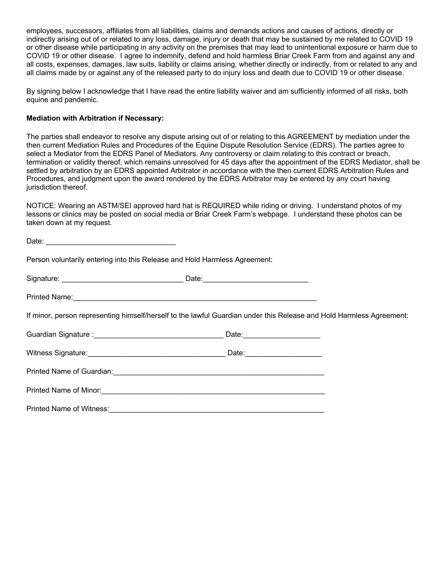employees, successors, affiliates from all liabilities, claims and demands actions and causes of actions, directly or indirectly arising out of or related to any loss, damage, injury or death that may be sustained by me related to COVID 19 or other disease while participating in any activity on the premises that may lead to unintentional exposure or harm due to COVID 19 or other disease. I agree to indemnify, defend and hold harmless Briar Creek Farm from and against any and all costs, expenses, damages, law suits, liability or claims arising, whether directly or indirectly, from or related to any and all claims made by or against any of the released party to do injury loss and death due to COVID 19 or other disease.

By signing below I acknowledge that I have read the entire liability waiver and am sufficiently informed of all risks, both equine and pandemic.

## **Mediation with Arbitration if Necessary:**

The parties shall endeavor to resolve any dispute arising out of or relating to this AGREEMENT by mediation under the then current Mediation Rules and Procedures of the Equine Dispute Resolution Service (EDRS). The parties agree to select a Mediator from the EDRS Panel of Mediators. Any controversy or claim relating to this contract or breach, termination or validity thereof, which remains unresolved for 45 days after the appointment of the EDRS Mediator, shall be settled by arbitration by an EDRS appointed Arbitrator in accordance with the then current EDRS Arbitration Rules and Procedures, and judgment upon the award rendered by the EDRS Arbitrator may be entered by any court having jurisdiction thereof.

NOTICE: Wearing an ASTM/SEI approved hard hat is REQUIRED while riding or driving. I understand photos of my lessons or clinics may be posted on social media or Briar Creek Farm's webpage. I understand these photos can be taken down at my request.

| Person voluntarily entering into this Release and Hold Harmless Agreement:                                           |  |
|----------------------------------------------------------------------------------------------------------------------|--|
|                                                                                                                      |  |
|                                                                                                                      |  |
| If minor, person representing himself/herself to the lawful Guardian under this Release and Hold Harmless Agreement: |  |
|                                                                                                                      |  |
|                                                                                                                      |  |
|                                                                                                                      |  |
|                                                                                                                      |  |
| Printed Name of Witness: 2008 Communication of Witness:                                                              |  |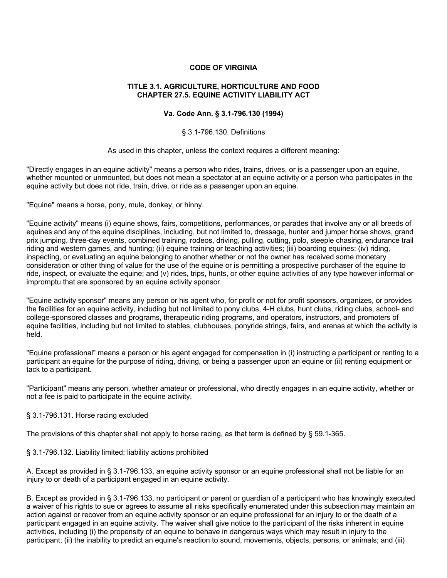# **CODE OF VIRGINIA**

## **TITLE 3.1. AGRICULTURE, HORTICULTURE AND FOOD CHAPTER 27.5. EQUINE ACTIVITY LIABILITY ACT**

# **Va. Code Ann. § 3.1-796.130 (1994)**

#### § 3.1-796.130. Definitions

#### As used in this chapter, unless the context requires a different meaning:

"Directly engages in an equine activity" means a person who rides, trains, drives, or is a passenger upon an equine, whether mounted or unmounted, but does not mean a spectator at an equine activity or a person who participates in the equine activity but does not ride, train, drive, or ride as a passenger upon an equine.

"Equine" means a horse, pony, mule, donkey, or hinny.

"Equine activity" means (i) equine shows, fairs, competitions, performances, or parades that involve any or all breeds of equines and any of the equine disciplines, including, but not limited to, dressage, hunter and jumper horse shows, grand prix jumping, three-day events, combined training, rodeos, driving, pulling, cutting, polo, steeple chasing, endurance trail riding and western games, and hunting; (ii) equine training or teaching activities; (iii) boarding equines; (iv) riding, inspecting, or evaluating an equine belonging to another whether or not the owner has received some monetary consideration or other thing of value for the use of the equine or is permitting a prospective purchaser of the equine to ride, inspect, or evaluate the equine; and (v) rides, trips, hunts, or other equine activities of any type however informal or impromptu that are sponsored by an equine activity sponsor.

"Equine activity sponsor" means any person or his agent who, for profit or not for profit sponsors, organizes, or provides the facilities for an equine activity, including but not limited to pony clubs, 4-H clubs, hunt clubs, riding clubs, school- and college-sponsored classes and programs, therapeutic riding programs, and operators, instructors, and promoters of equine facilities, including but not limited to stables, clubhouses, ponyride strings, fairs, and arenas at which the activity is held.

"Equine professional" means a person or his agent engaged for compensation in (i) instructing a participant or renting to a participant an equine for the purpose of riding, driving, or being a passenger upon an equine or (ii) renting equipment or tack to a participant.

"Participant" means any person, whether amateur or professional, who directly engages in an equine activity, whether or not a fee is paid to participate in the equine activity.

## § 3.1-796.131. Horse racing excluded

The provisions of this chapter shall not apply to horse racing, as that term is defined by § 59.1-365.

## § 3.1-796.132. Liability limited; liability actions prohibited

A. Except as provided in § 3.1-796.133, an equine activity sponsor or an equine professional shall not be liable for an injury to or death of a participant engaged in an equine activity.

B. Except as provided in § 3.1-796.133, no participant or parent or guardian of a participant who has knowingly executed a waiver of his rights to sue or agrees to assume all risks specifically enumerated under this subsection may maintain an action against or recover from an equine activity sponsor or an equine professional for an injury to or the death of a participant engaged in an equine activity. The waiver shall give notice to the participant of the risks inherent in equine activities, including (i) the propensity of an equine to behave in dangerous ways which may result in injury to the participant; (ii) the inability to predict an equine's reaction to sound, movements, objects, persons, or animals; and (iii)